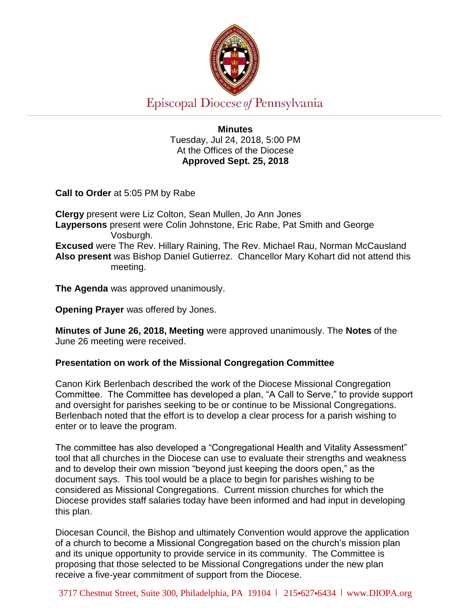

# Episcopal Diocese of Pennsylvania

**Minutes** Tuesday, Jul 24, 2018, 5:00 PM At the Offices of the Diocese **Approved Sept. 25, 2018**

**Call to Order** at 5:05 PM by Rabe

**Clergy** present were Liz Colton, Sean Mullen, Jo Ann Jones **Laypersons** present were Colin Johnstone, Eric Rabe, Pat Smith and George Vosburgh. **Excused** were The Rev. Hillary Raining, The Rev. Michael Rau, Norman McCausland **Also present** was Bishop Daniel Gutierrez. Chancellor Mary Kohart did not attend this meeting.

**The Agenda** was approved unanimously.

**Opening Prayer** was offered by Jones.

**Minutes of June 26, 2018, Meeting** were approved unanimously. The **Notes** of the June 26 meeting were received.

## **Presentation on work of the Missional Congregation Committee**

Canon Kirk Berlenbach described the work of the Diocese Missional Congregation Committee. The Committee has developed a plan, "A Call to Serve," to provide support and oversight for parishes seeking to be or continue to be Missional Congregations. Berlenbach noted that the effort is to develop a clear process for a parish wishing to enter or to leave the program.

The committee has also developed a "Congregational Health and Vitality Assessment" tool that all churches in the Diocese can use to evaluate their strengths and weakness and to develop their own mission "beyond just keeping the doors open," as the document says. This tool would be a place to begin for parishes wishing to be considered as Missional Congregations. Current mission churches for which the Diocese provides staff salaries today have been informed and had input in developing this plan.

Diocesan Council, the Bishop and ultimately Convention would approve the application of a church to become a Missional Congregation based on the church's mission plan and its unique opportunity to provide service in its community. The Committee is proposing that those selected to be Missional Congregations under the new plan receive a five-year commitment of support from the Diocese.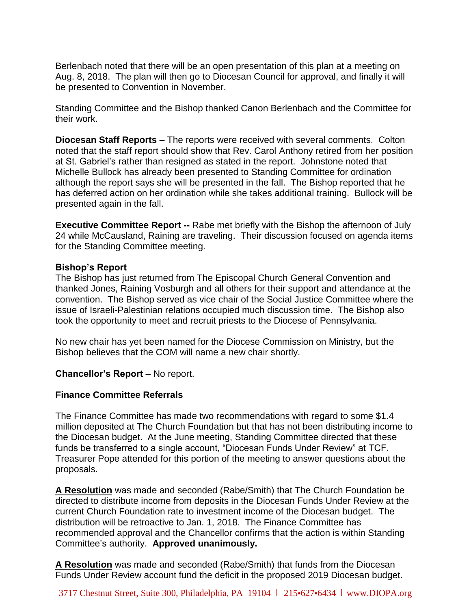Berlenbach noted that there will be an open presentation of this plan at a meeting on Aug. 8, 2018. The plan will then go to Diocesan Council for approval, and finally it will be presented to Convention in November.

Standing Committee and the Bishop thanked Canon Berlenbach and the Committee for their work.

**Diocesan Staff Reports –** The reports were received with several comments. Colton noted that the staff report should show that Rev. Carol Anthony retired from her position at St. Gabriel's rather than resigned as stated in the report. Johnstone noted that Michelle Bullock has already been presented to Standing Committee for ordination although the report says she will be presented in the fall. The Bishop reported that he has deferred action on her ordination while she takes additional training. Bullock will be presented again in the fall.

**Executive Committee Report --** Rabe met briefly with the Bishop the afternoon of July 24 while McCausland, Raining are traveling. Their discussion focused on agenda items for the Standing Committee meeting.

#### **Bishop's Report**

The Bishop has just returned from The Episcopal Church General Convention and thanked Jones, Raining Vosburgh and all others for their support and attendance at the convention. The Bishop served as vice chair of the Social Justice Committee where the issue of Israeli-Palestinian relations occupied much discussion time. The Bishop also took the opportunity to meet and recruit priests to the Diocese of Pennsylvania.

No new chair has yet been named for the Diocese Commission on Ministry, but the Bishop believes that the COM will name a new chair shortly.

#### **Chancellor's Report** – No report.

#### **Finance Committee Referrals**

The Finance Committee has made two recommendations with regard to some \$1.4 million deposited at The Church Foundation but that has not been distributing income to the Diocesan budget. At the June meeting, Standing Committee directed that these funds be transferred to a single account, "Diocesan Funds Under Review" at TCF. Treasurer Pope attended for this portion of the meeting to answer questions about the proposals.

**A Resolution** was made and seconded (Rabe/Smith) that The Church Foundation be directed to distribute income from deposits in the Diocesan Funds Under Review at the current Church Foundation rate to investment income of the Diocesan budget. The distribution will be retroactive to Jan. 1, 2018. The Finance Committee has recommended approval and the Chancellor confirms that the action is within Standing Committee's authority. **Approved unanimously.** 

**A Resolution** was made and seconded (Rabe/Smith) that funds from the Diocesan Funds Under Review account fund the deficit in the proposed 2019 Diocesan budget.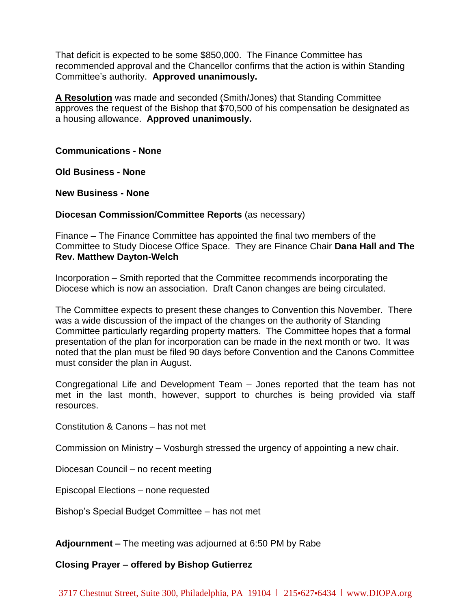That deficit is expected to be some \$850,000. The Finance Committee has recommended approval and the Chancellor confirms that the action is within Standing Committee's authority. **Approved unanimously.** 

**A Resolution** was made and seconded (Smith/Jones) that Standing Committee approves the request of the Bishop that \$70,500 of his compensation be designated as a housing allowance. **Approved unanimously.** 

**Communications - None**

**Old Business - None**

**New Business - None**

#### **Diocesan Commission/Committee Reports** (as necessary)

Finance – The Finance Committee has appointed the final two members of the Committee to Study Diocese Office Space. They are Finance Chair **Dana Hall and The Rev. Matthew Dayton-Welch**

Incorporation – Smith reported that the Committee recommends incorporating the Diocese which is now an association. Draft Canon changes are being circulated.

The Committee expects to present these changes to Convention this November. There was a wide discussion of the impact of the changes on the authority of Standing Committee particularly regarding property matters. The Committee hopes that a formal presentation of the plan for incorporation can be made in the next month or two. It was noted that the plan must be filed 90 days before Convention and the Canons Committee must consider the plan in August.

Congregational Life and Development Team – Jones reported that the team has not met in the last month, however, support to churches is being provided via staff resources.

Constitution & Canons – has not met

Commission on Ministry – Vosburgh stressed the urgency of appointing a new chair.

Diocesan Council – no recent meeting

Episcopal Elections – none requested

Bishop's Special Budget Committee – has not met

**Adjournment –** The meeting was adjourned at 6:50 PM by Rabe

## **Closing Prayer – offered by Bishop Gutierrez**

3717 Chestnut Street, Suite 300, Philadelphia, PA 19104 l 215•627•6434 l www.DIOPA.org